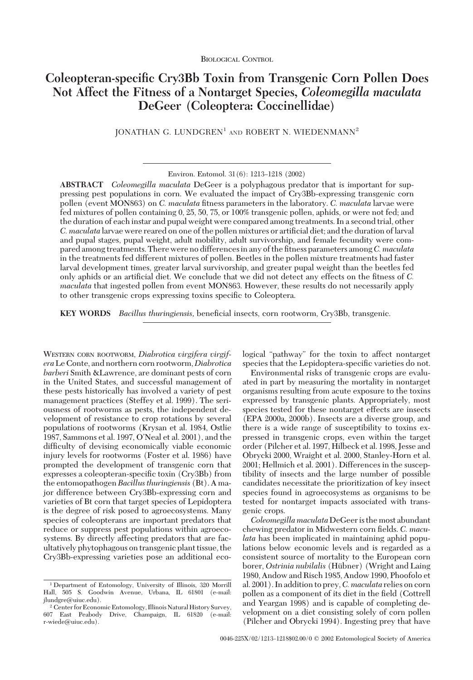# **Coleopteran-specific Cry3Bb Toxin from Transgenic Corn Pollen Does Not Affect the Fitness of a Nontarget Species,** *Coleomegilla maculata* **DeGeer (Coleoptera: Coccinellidae)**

JONATHAN G. LUNDGREN<sup>1</sup> AND ROBERT N. WIEDENMANN<sup>2</sup>

Environ. Entomol. 31(6): 1213-1218 (2002)

**ABSTRACT** *Coleomegilla maculata* DeGeer is a polyphagous predator that is important for suppressing pest populations in corn. We evaluated the impact of Cry3Bb-expressing transgenic corn pollen (event MON863) on *C. maculata* fitness parameters in the laboratory. *C. maculata* larvae were fed mixtures of pollen containing 0, 25, 50, 75, or 100% transgenic pollen, aphids, or were not fed; and the duration of each instar and pupal weight were compared among treatments. In a second trial, other *C. maculata* larvae were reared on one of the pollen mixtures or artificial diet; and the duration of larval and pupal stages, pupal weight, adult mobility, adult survivorship, and female fecundity were compared among treatments. There were no differences in any of the fitness parameters among C. maculata in the treatments fed different mixtures of pollen. Beetles in the pollen mixture treatments had faster larval development times, greater larval survivorship, and greater pupal weight than the beetles fed only aphids or an artificial diet. We conclude that we did not detect any effects on the fitness of *C*. *maculata* that ingested pollen from event MON863. However, these results do not necessarily apply to other transgenic crops expressing toxins specific to Coleoptera.

KEY WORDS *Bacillus thuringiensis*, beneficial insects, corn rootworm, Cry3Bb, transgenic.

WESTERN CORN ROOTWORM, *Diabrotica virgifera virgifera*Le Conte, and northern corn rootworm,*Diabrotica barberi* Smith &Lawrence, are dominant pests of corn in the United States, and successful management of these pests historically has involved a variety of pest management practices (Steffey et al. 1999). The seriousness of rootworms as pests, the independent development of resistance to crop rotations by several populations of rootworms (Krysan et al. 1984, Ostlie 1987, Sammons et al. 1997, O'Neal et al. 2001), and the difficulty of devising economically viable economic injury levels for rootworms (Foster et al. 1986) have prompted the development of transgenic corn that expresses a coleopteran-specific toxin (Cry3Bb) from the entomopathogen*Bacillus thuringiensis* (Bt). A major difference between Cry3Bb-expressing corn and varieties of Bt corn that target species of Lepidoptera is the degree of risk posed to agroecosystems. Many species of coleopterans are important predators that reduce or suppress pest populations within agroecosystems. By directly affecting predators that are facultatively phytophagous on transgenic plant tissue, the Cry3Bb-expressing varieties pose an additional ecological "pathway" for the toxin to affect nontarget species that the Lepidoptera-specific varieties do not.

Environmental risks of transgenic crops are evaluated in part by measuring the mortality in nontarget organisms resulting from acute exposure to the toxins expressed by transgenic plants. Appropriately, most species tested for these nontarget effects are insects (EPA 2000a, 2000b). Insects are a diverse group, and there is a wide range of susceptibility to toxins expressed in transgenic crops, even within the target order (Pilcher et al. 1997, Hilbeck et al. 1998, Jesse and Obrycki 2000, Wraight et al. 2000, Stanley-Horn et al. 2001; Hellmich et al. 2001). Differences in the susceptibility of insects and the large number of possible candidates necessitate the prioritization of key insect species found in agroecosystems as organisms to be tested for nontarget impacts associated with transgenic crops.

*Coleomegilla maculata* DeGeeris the most abundant chewing predator in Midwestern corn fields. *C. maculata* has been implicated in maintaining aphid populations below economic levels and is regarded as a consistent source of mortality to the European corn borer, *Ostrinia nubilalis* (Hübner) (Wright and Laing 1980, Andow and Risch 1985, Andow 1990, Phoofolo et al. 2001). In addition to prey,*C. maculata* relies on corn pollen as a component of its diet in the field (Cottrell and Yeargan 1998) and is capable of completing development on a diet consisting solely of corn pollen (Pilcher and Obrycki 1994). Ingesting prey that have

<sup>1</sup> Department of Entomology, University of Illinois, 320 Morrill Hall, 505 S. Goodwin Avenue, Urbana, IL 61801 (e-mail: jlundgre@uiuc.edu).

<sup>2</sup> Center for Economic Entomology, Illinois Natural History Survey, 607 East Peabody Drive, Champaign, IL 61820 (e-mail: r-wiede@uiuc.edu).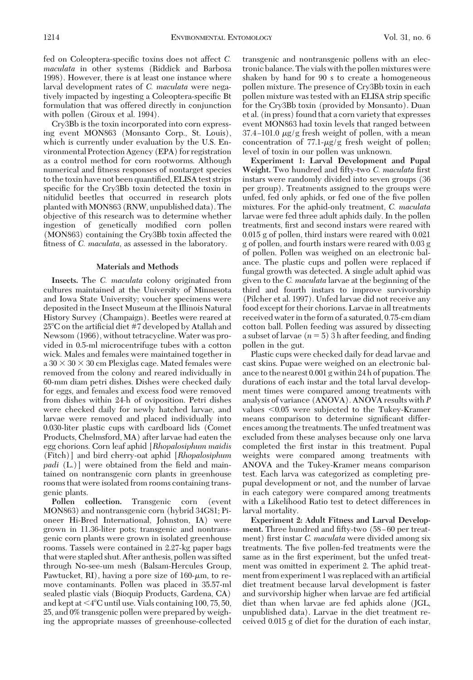fed on Coleoptera-specific toxins does not affect *C*. *maculata* in other systems (Riddick and Barbosa 1998). However, there is at least one instance where larval development rates of *C. maculata* were negatively impacted by ingesting a Coleoptera-specific Bt formulation that was offered directly in conjunction with pollen (Giroux et al. 1994).

Cry3Bb is the toxin incorporated into corn expressing event MON863 (Monsanto Corp., St. Louis), which is currently under evaluation by the U.S. Environmental Protection Agency (EPA) for registration as a control method for corn rootworms. Although numerical and fitness responses of nontarget species to the toxin have not been quantified, ELISA test strips specific for the Cry3Bb toxin detected the toxin in nitidulid beetles that occurred in research plots planted with MON863 (RNW, unpublished data). The objective of this research was to determine whether ingestion of genetically modified corn pollen (MON863) containing the Cry3Bb toxin affected the fitness of *C. maculata*, as assessed in the laboratory.

#### **Materials and Methods**

**Insects.** The *C. maculata* colony originated from cultures maintained at the University of Minnesota and Iowa State University; voucher specimens were deposited in the Insect Museum at the Illinois Natural History Survey (Champaign). Beetles were reared at  $25^{\circ}$ C on the artificial diet #7 developed by Atallah and Newsom (1966), without tetracycline. Water was provided in 0.5-ml microcentrifuge tubes with a cotton wick. Males and females were maintained together in  $a\,30 \times 30 \times 30$  cm Plexiglas cage. Mated females were removed from the colony and reared individually in 60-mm diam petri dishes. Dishes were checked daily for eggs, and females and excess food were removed from dishes within 24-h of oviposition. Petri dishes were checked daily for newly hatched larvae, and larvae were removed and placed individually into 0.030-liter plastic cups with cardboard lids (Comet Products, Chelmsford, MA) after larvae had eaten the egg chorions. Corn leaf aphid [*Rhopalosiphum maidis* (Fitch)] and bird cherry-oat aphid [*Rhopalosiphum padi* (L.)] were obtained from the field and maintained on nontransgenic corn plants in greenhouse rooms that were isolated from rooms containing transgenic plants.

**Pollen collection.** Transgenic corn (event MON863) and nontransgenic corn (hybrid 34G81; Pioneer Hi-Bred International, Johnston, IA) were grown in 11.36-liter pots; transgenic and nontransgenic corn plants were grown in isolated greenhouse rooms. Tassels were contained in 2.27-kg paper bags that were stapled shut. After anthesis, pollen was sifted through No-see-um mesh (Balsam-Hercules Group, Pawtucket, RI), having a pore size of  $160$ - $\mu$ m, to remove contaminants. Pollen was placed in 35.57-ml sealed plastic vials (Bioquip Products, Gardena, CA) and kept at  $\leq 4^{\circ}$ C until use. Vials containing 100, 75, 50, 25, and 0% transgenic pollen were prepared by weighing the appropriate masses of greenhouse-collected transgenic and nontransgenic pollens with an electronic balance. The vials with the pollen mixtures were shaken by hand for 90 s to create a homogeneous pollen mixture. The presence of Cry3Bb toxin in each pollen mixture was tested with an ELISA strip specific for theCry3Bb toxin (provided by Monsanto). Duan et al. (in press) found that a corn variety that expresses event MON863 had toxin levels that ranged between  $37.4 - 101.0 \mu g/g$  fresh weight of pollen, with a mean concentration of  $77.1-\mu g/g$  fresh weight of pollen; level of toxin in our pollen was unknown.

**Experiment 1: Larval Development and Pupal** Weight. Two hundred and fifty-two *C. maculata* first instars were randomly divided into seven groups (36 per group). Treatments assigned to the groups were unfed, fed only aphids, or fed one of the five pollen mixtures. For the aphid-only treatment, *C. maculata* larvae were fed three adult aphids daily. In the pollen treatments, first and second instars were reared with 0.015 g of pollen, third instars were reared with 0.021 g of pollen, and fourth instars were reared with 0.03 g of pollen. Pollen was weighed on an electronic balance. The plastic cups and pollen were replaced if fungal growth was detected. A single adult aphid was given to the *C. maculata* larvae at the beginning of the third and fourth instars to improve survivorship (Pilcher et al. 1997). Unfed larvae did not receive any food except for their chorions. Larvae in all treatments received waterin the form of a saturated, 0.75-cm diam cotton ball. Pollen feeding was assured by dissecting a subset of larvae  $(n = 5)$  3 h after feeding, and finding pollen in the gut.

Plastic cups were checked daily for dead larvae and cast skins. Pupae were weighed on an electronic balance to the nearest 0.001 g within 24 h of pupation. The durations of each instar and the total larval development times were compared among treatments with analysis of variance(ANOVA). ANOVA results with *P* values  $\leq 0.05$  were subjected to the Tukey-Kramer means comparison to determine significant differences among the treatments. The unfed treatment was excluded from these analyses because only one larva completed the first instar in this treatment. Pupal weights were compared among treatments with ANOVA and the Tukey-Kramer means comparison test. Each larva was categorized as completing prepupal development or not, and the number of larvae in each category were compared among treatments with a Likelihood Ratio test to detect differences in larval mortality.

**Experiment 2: Adult Fitness and Larval Develop**ment. Three hundred and fifty-two (58–60 per treatment) first instar *C. maculata* were divided among six treatments. The five pollen-fed treatments were the same as in the first experiment, but the unfed treatment was omitted in experiment 2. The aphid treatment from experiment 1 was replaced with an artificial diet treatment because larval development is faster and survivorship higher when larvae are fed artificial diet than when larvae are fed aphids alone (JGL, unpublished data). Larvae in the diet treatment received 0.015 g of diet for the duration of each instar,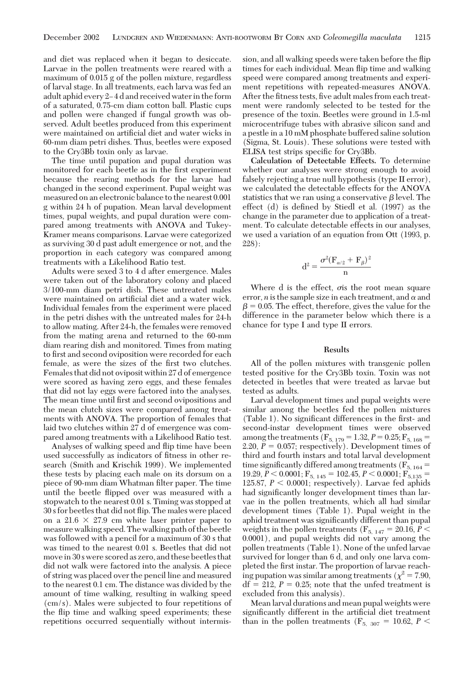and diet was replaced when it began to desiccate. Larvae in the pollen treatments were reared with a maximum of 0.015 g of the pollen mixture, regardless of larval stage. In all treatments, each larva was fed an adult aphid every 2–4d and received water in the form of a saturated, 0.75-cm diam cotton ball. Plastic cups and pollen were changed if fungal growth was observed. Adult beetles produced from this experiment were maintained on artificial diet and water wicks in 60-mm diam petri dishes. Thus, beetles were exposed to theCry3Bb toxin only as larvae.

The time until pupation and pupal duration was monitored for each beetle as in the first experiment because the rearing methods for the larvae had changed in the second experiment. Pupal weight was measured on an electronic balance to the nearest 0.001 g within 24 h of pupation. Mean larval development times, pupal weights, and pupal duration were compared among treatments with ANOVA and Tukey-Kramer means comparisons. Larvae were categorized as surviving 30 d past adult emergence or not, and the proportion in each category was compared among treatments with a Likelihood Ratio test.

Adults were sexed 3 to 4 d after emergence. Males were taken out of the laboratory colony and placed 3/100-mm diam petri dish. These untreated males were maintained on artificial diet and a water wick. Individual females from the experiment were placed in the petri dishes with the untreated males for 24-h to allow mating. After 24-h, the females were removed from the mating arena and returned to the 60-mm diam rearing dish and monitored. Times from mating to first and second oviposition were recorded for each female, as were the sizes of the first two clutches. Females that did not oviposit within 27 d of emergence were scored as having zero eggs, and these females that did not lay eggs were factored into the analyses. The mean time until first and second ovipositions and the mean clutch sizes were compared among treatments with ANOVA. The proportion of females that laid two clutches within 27 d of emergence was compared among treatments with a Likelihood Ratio test.

Analyses of walking speed and ßip time have been used successfully as indicators of fitness in other research (Smith and Krischik 1999). We implemented these tests by placing each male on its dorsum on a piece of 90-mm diam Whatman filter paper. The time until the beetle ßipped over was measured with a stopwatch to the nearest 0.01 s. Timing was stopped at 30 s for beetles that did not ßip. The males were placed on a  $21.6 \times 27.9$  cm white laser printer paper to measure walking speed. The walking path of the beetle was followed with a pencil for a maximum of 30 s that was timed to the nearest 0.01 s. Beetles that did not movein 30 s were scored as zero, and these beetles that did not walk were factored into the analysis. A piece of string was placed over the pencil line and measured to the nearest 0.1 cm. The distance was divided by the amount of time walking, resulting in walking speed (cm/s). Males were subjected to four repetitions of the ßip time and walking speed experiments; these repetitions occurred sequentially without intermission, and all walking speeds were taken before the ßip times for each individual. Mean ßip time and walking speed were compared among treatments and experiment repetitions with repeated-measures ANOVA. After the fitness tests, five adult males from each treatment were randomly selected to be tested for the presence of the toxin. Beetles were ground in 1.5-ml microcentrifuge tubes with abrasive silicon sand and a pestle in a 10 mM phosphate buffered saline solution (Sigma, St. Louis). These solutions were tested with ELISA test strips specific for Cry3Bb.

**Calculation of Detectable Effects.** To determine whether our analyses were strong enough to avoid falsely rejecting a true null hypothesis (type II error), we calculated the detectable effects for the ANOVA statistics that we ran using a conservative  $\beta$  level. The effect (d) is defined by Stiedl et al.  $(1997)$  as the change in the parameter due to application of a treatment. To calculate detectable effects in our analyses, we used a variation of an equation from Ott (1993, p. 228):

$$
d^2=\frac{\sigma^2(F_{\alpha/2}+F_{\beta})^2}{n}
$$

Where  $d$  is the effect,  $\sigma$  is the root mean square error, *n* is the sample size in each treatment, and  $\alpha$  and  $\beta$  = 0.05. The effect, therefore, gives the value for the difference in the parameter below which there is a chance for type I and type II errors.

### **Results**

All of the pollen mixtures with transgenic pollen tested positive for the Cry3Bb toxin. Toxin was not detected in beetles that were treated as larvae but tested as adults.

Larval development times and pupal weights were similar among the beetles fed the pollen mixtures (Table 1). No significant differences in the first- and second-instar development times were observed among the treatments ( $F_{5, 179} = 1.32, P = 0.25; F_{5, 168} =$ 2.20,  $P = 0.057$ ; respectively). Development times of third and fourth instars and total larval development time significantly differed among treatments ( $F_{5, 164}$  = 19.29,  $P < 0.0001$ ;  $F_{5, 145} = 102.45$ ,  $P < 0.0001$ ;  $F_{5, 135} =$ 125.87,  $P < 0.0001$ ; respectively). Larvae fed aphids had significantly longer development times than larvae in the pollen treatments, which all had similar development times (Table 1). Pupal weight in the aphid treatment was significantly different than pupal weights in the pollen treatments ( $F_{5, 147} = 20.16, P <$ 0.0001), and pupal weights did not vary among the pollen treatments (Table 1). None of the unfed larvae survived for longer than 6 d, and only one larva completed the first instar. The proportion of larvae reaching pupation was similar among treatments ( $\chi^2$  = 7.90,  $df = 212$ ,  $P = 0.25$ ; note that the unfed treatment is excluded from this analysis).

Mean larval durations and mean pupal weights were significantly different in the artificial diet treatment than in the pollen treatments ( $F_{5, 307} = 10.62$ ,  $P <$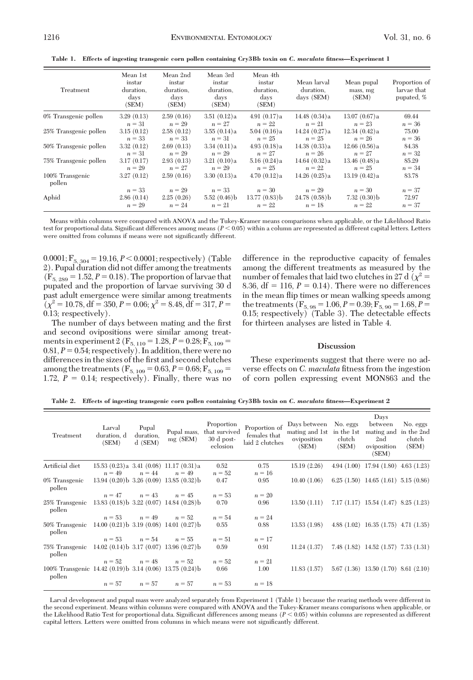**Table 1. Effects of ingesting transgenic corn pollen containing Cry3Bb toxin on** *C. maculata* **fitness—Experiment 1**

| Treatment                 | Mean 1st<br>instar<br>duration.<br>days<br>(SEM) | Mean 2nd<br>instar<br>duration.<br>days<br>(SEM) | Mean 3rd<br>instar<br>duration.<br>davs<br>(SEM) | Mean 4th<br>instar<br>duration.<br>days<br>(SEM) | Mean larval<br>duration,<br>days (SEM) | Mean pupal<br>mass, mg<br>(SEM) | Proportion of<br>larvae that<br>pupated, % |
|---------------------------|--------------------------------------------------|--------------------------------------------------|--------------------------------------------------|--------------------------------------------------|----------------------------------------|---------------------------------|--------------------------------------------|
| 0% Transgenic pollen      | 3.29(0.13)                                       | 2.59(0.16)                                       | 3.51(0.12)a                                      | 4.91 $(0.17)a$                                   | 14.48(0.34)a                           | 13.07(0.67)a                    | 69.44                                      |
|                           | $n = 31$                                         | $n = 29$                                         | $n=27$                                           | $n = 22$                                         | $n = 21$                               | $n = 23$                        | $n = 36$                                   |
| 25% Transgenic pollen     | 3.15(0.12)                                       | 2.58(0.12)                                       | 3.55(0.14)a                                      | 5.04(0.16)a                                      | 14.24(0.27)a                           | 12.34(0.42)a                    | 75.00                                      |
|                           | $n = 33$                                         | $n = 33$                                         | $n = 31$                                         | $n = 25$                                         | $n = 25$                               | $n = 26$                        | $n = 36$                                   |
| 50% Transgenic pollen     | 3.32(0.12)                                       | 2.69(0.13)                                       | 3.34(0.11)a                                      | 4.93(0.18)a                                      | 14.38(0.33)a                           | 12.66(0.56)a                    | 84.38                                      |
|                           | $n = 31$                                         | $n = 29$                                         | $n = 29$                                         | $n=27$                                           | $n = 26$                               | $n=27$                          | $n = 32$                                   |
| 75% Transgenic pollen     | 3.17(0.17)                                       | 2.93(0.13)                                       | 3.21(0.10)a                                      | 5.16(0.24)a                                      | 14.64(0.32)a                           | 13.46(0.48)a                    | 85.29                                      |
|                           | $n = 29$                                         | $n=27$                                           | $n = 29$                                         | $n = 25$                                         | $n = 22$                               | $n = 25$                        | $n = 34$                                   |
| 100% Transgenic<br>pollen | 3.27(0.12)                                       | 2.59(0.16)                                       | 3.30(0.13)a                                      | 4.70(0.12)a                                      | 14.26(0.25)a                           | 13.19(0.42)a                    | 83.78                                      |
|                           | $n = 33$                                         | $n = 29$                                         | $n = 33$                                         | $n = 30$                                         | $n = 29$                               | $n = 30$                        | $n = 37$                                   |
| Aphid                     | 2.86(0.14)                                       | 2.25(0.26)                                       | 5.52(0.46)                                       | $13.77(0.83)$ b                                  | $24.78(0.58)$ b                        | 7.32(0.30)                      | 72.97                                      |
|                           | $n = 29$                                         | $n = 24$                                         | $n = 21$                                         | $n = 22$                                         | $n = 18$                               | $n = 22$                        | $n = 37$                                   |

Means within columns were compared with ANOVA and the Tukey-Kramer means comparisons when applicable, or the Likelihood Ratio test for proportional data. Significant differences among means ( $P < 0.05$ ) within a column are represented as different capital letters. Letters were omitted from columns if means were not significantly different.

 $0.0001; F_{5, 304} = 19.16, P < 0.0001;$  respectively) (Table 2). Pupal duration did not differ among the treatments  $(F_{5, 289} = 1.52, P = 0.18)$ . The proportion of larvae that pupated and the proportion of larvae surviving 30 d past adult emergence were similar among treatments  $(\chi^2 = 10.78, df = 350, P = 0.06; \chi^2 = 8.48, df = 317, P =$ 0.13; respectively).

The number of days between mating and the first and second ovipositions were similar among treatments in experiment 2 ( $F_{5, 110} = 1.28, P = 0.28; F_{5, 109} =$  $0.81, P = 0.54$ ; respectively). In addition, there were no differences in the sizes of the first and second clutches among the treatments ( $F_{5, 109} = 0.63, P = 0.68; F_{5, 109} =$ 1.72,  $P = 0.14$ ; respectively). Finally, there was no difference in the reproductive capacity of females among the different treatments as measured by the number of females that laid two clutches in 27 d ( $\chi^2$  = 8.36,  $df = 116$ ,  $P = 0.14$ ). There were no differences in the mean ßip times or mean walking speeds among the treatments ( $F_{5, 98} = 1.06, P = 0.39; F_{5, 90} = 1.68, P =$ 0.15; respectively) (Table 3). The detectable effects for thirteen analyses are listed in Table 4.

#### **Discussion**

These experiments suggest that there were no adverse effects on *C. maculata* fitness from the ingestion of corn pollen expressing event MON863 and the

**Table 2. Effects of ingesting transgenic corn pollen containing Cry3Bb toxin on** *C. maculata* **fitness—Experiment 2**

| Treatment                                                           | Larval<br>duration, d<br>(SEM) | Pupal<br>duration.<br>$d$ (SEM) | Pupal mass,<br>mg(SEM)                       | Proportion<br>that survived<br>30 d post-<br>eclosion | Proportion of<br>females that<br>laid 2 clutches | Days between<br>mating and 1st<br>oviposition<br>(SEM) | No. eggs<br>in the 1st<br>clutch<br>(SEM) | Days<br>between<br>mating and in the 2nd<br>2nd<br>oviposition<br>(SEM) | No. eggs<br>clutch<br>(SEM) |
|---------------------------------------------------------------------|--------------------------------|---------------------------------|----------------------------------------------|-------------------------------------------------------|--------------------------------------------------|--------------------------------------------------------|-------------------------------------------|-------------------------------------------------------------------------|-----------------------------|
| Artificial diet                                                     |                                |                                 | $15.53(0.23)a$ 3.41 $(0.08)$ 11.17 $(0.31)a$ | $0.52\,$                                              | 0.75                                             | 15.19(2.26)                                            |                                           | $4.94(1.00)$ 17.94 $(1.80)$ 4.63 $(1.23)$                               |                             |
|                                                                     | $n = 49$                       | $n = 44$                        | $n = 49$                                     | $n = 52$                                              | $n = 16$                                         |                                                        |                                           |                                                                         |                             |
| 0% Transgenic<br>pollen                                             |                                |                                 | $13.94(0.20)$ b $3.26(0.09)$ $13.85(0.32)$ b | 0.47                                                  | 0.95                                             | 10.40(1.06)                                            |                                           | $6.25(1.50)$ 14.65 $(1.61)$ 5.15 $(0.86)$                               |                             |
|                                                                     |                                | $n = 47$ $n = 43$               | $n = 45$                                     | $n = 53$                                              | $n = 20$                                         |                                                        |                                           |                                                                         |                             |
| 25% Transgenic 13.83 (0.18) b 3.22 (0.07) 14.84 (0.28) b<br>pollen  |                                |                                 |                                              | 0.70                                                  | 0.96                                             | 13.50(1.11)                                            |                                           | $7.17(1.17)$ 15.54 $(1.47)$ 8.25 $(1.23)$                               |                             |
|                                                                     |                                | $n = 53$ $n = 49$               | $n = 52$                                     | $n = 54$                                              | $n = 24$                                         |                                                        |                                           |                                                                         |                             |
| 50% Transgenic 14.00 (0.21) b 3.19 (0.08) 14.01 (0.27) b<br>pollen  |                                |                                 |                                              | 0.55                                                  | 0.88                                             | 13.53 (1.98)                                           |                                           | 4.88 $(1.02)$ 16.35 $(1.75)$ 4.71 $(1.35)$                              |                             |
|                                                                     |                                | $n = 53$ $n = 54$               | $n = 55$                                     | $n = 51$                                              | $n=17$                                           |                                                        |                                           |                                                                         |                             |
| 75% Transgenic 14.02 (0.14) b 3.17 (0.07) 13.96 (0.27) b<br>pollen  |                                |                                 |                                              | 0.59                                                  | 0.91                                             | 11.24(1.37)                                            |                                           | $7.48(1.82)$ 14.52 $(1.57)$ 7.33 $(1.31)$                               |                             |
|                                                                     |                                | $n = 52$ $n = 48$               | $n = 52$                                     | $n = 52$                                              | $n = 21$                                         |                                                        |                                           |                                                                         |                             |
| 100% Transgenic 14.42 (0.19) b 3.14 (0.06) 13.75 (0.24) b<br>pollen |                                |                                 |                                              | 0.66                                                  | $1.00\,$                                         | 11.83(1.57)                                            |                                           | $5.67(1.36)$ 13.50 $(1.70)$ 8.61 $(2.10)$                               |                             |
|                                                                     |                                |                                 | $n = 57$ $n = 57$ $n = 57$                   | $n = 53$                                              | $n = 18$                                         |                                                        |                                           |                                                                         |                             |
|                                                                     |                                |                                 |                                              |                                                       |                                                  |                                                        |                                           |                                                                         |                             |

Larval development and pupal mass were analyzed separately from Experiment 1 (Table 1) because the rearing methods were different in the second experiment. Means within columns were compared with ANOVA and the Tukey-Kramer means comparisons when applicable, or the Likelihood Ratio Test for proportional data. Significant differences among means ( $P < 0.05$ ) within columns are represented as different capital letters. Letters were omitted from columns in which means were not significantly different.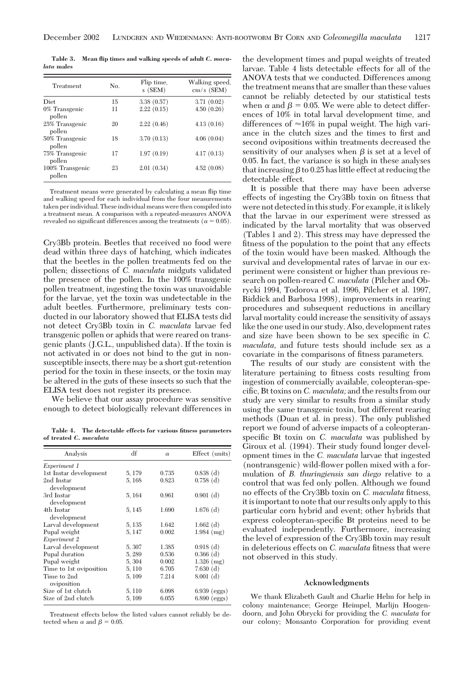**Table 3. Mean flip times and walking speeds of adult** *C. maculata* **males**

| Treatment                 | No. | Flip time.<br>$s$ (SEM) | Walking speed.<br>$cm/s$ (SEM) |
|---------------------------|-----|-------------------------|--------------------------------|
| Diet                      | 15  | 3.38(0.57)              | 3.71(0.02)                     |
| 0% Transgenic<br>pollen   | 11  | 2.22(0.15)              | 4.50(0.26)                     |
| 25% Transgenic<br>pollen  | 20  | 2.22(0.46)              | 4.13(0.16)                     |
| 50% Transgenic<br>pollen  | 18  | 3.70(0.13)              | 4.06(0.04)                     |
| 75% Transgenic<br>pollen  | 17  | 1.97(0.19)              | 4.17(0.13)                     |
| 100% Transgenic<br>pollen | 23  | 2.01(0.34)              | 4.52(0.08)                     |

Treatment means were generated by calculating a mean ßip time and walking speed for each individual from the four measurements taken per individual. These individual means were then compiled into a treatment mean. A comparison with a repeated-measures ANOVA revealed no significant differences among the treatments ( $\alpha = 0.05$ ).

Cry3Bb protein. Beetles that received no food were dead within three days of hatching, which indicates that the beetles in the pollen treatments fed on the pollen; dissections of *C. maculata* midguts validated the presence of the pollen. In the 100% transgenic pollen treatment, ingesting the toxin was unavoidable for the larvae, yet the toxin was undetectable in the adult beetles. Furthermore, preliminary tests conducted in our laboratory showed that ELISA tests did not detect Cry3Bb toxin in *C. maculata* larvae fed transgenic pollen or aphids that were reared on transgenic plants (J.G.L., unpublished data). If the toxin is not activated in or does not bind to the gut in nonsusceptible insects, there may be a short gut-retention period for the toxin in these insects, or the toxin may be altered in the guts of these insects so such that the ELISA test does not register its presence.

We believe that our assay procedure was sensitive enough to detect biologically relevant differences in

**Table 4. The detectable effects for various fitness parameters of treated** *C. maculata*

| Analysis                   | df     | $\alpha$ | Effect (units) |
|----------------------------|--------|----------|----------------|
| Experiment 1               |        |          |                |
| 1st Instar development     | 5, 179 | 0.735    | $0.838$ (d)    |
| 2nd Instar<br>development  | 5, 168 | 0.823    | $0.758$ (d)    |
| 3rd Instar<br>development  | 5, 164 | 0.961    | $0.901$ (d)    |
| 4th Instar<br>development  | 5, 145 | 1.690    | $1.676$ (d)    |
| Larval development         | 5, 135 | 1.642    | $1.662$ (d)    |
| Pupal weight               | 5, 147 | 0.002    | $1.984$ (mg)   |
| Experiment 2               |        |          |                |
| Larval development         | 5,307  | 1.385    | $0.918$ (d)    |
| Pupal duration             | 5,289  | 0.536    | $0.366$ (d)    |
| Pupal weight               | 5,304  | 0.002    | $1.326$ (mg)   |
| Time to 1st oviposition    | 5, 110 | 6.705    | 7.630(d)       |
| Time to 2nd<br>oviposition | 5, 109 | 7.214    | $8.001$ (d)    |
| Size of 1st clutch         | 5, 110 | 6.098    | $6.939$ (eggs) |
| Size of 2nd clutch         | 5, 109 | 6.055    | $6.890$ (eggs) |

Treatment effects below the listed values cannot reliably be detected when  $\alpha$  and  $\beta = 0.05$ .

the development times and pupal weights of treated larvae. Table 4 lists detectable effects for all of the ANOVA tests that we conducted. Differences among the treatment means that are smaller than these values cannot be reliably detected by our statistical tests when  $\alpha$  and  $\beta$  = 0.05. We were able to detect differences of 10% in total larval development time, and differences of  $\approx 16\%$  in pupal weight. The high variance in the clutch sizes and the times to first and second ovipositions within treatments decreased the sensitivity of our analyses when  $\beta$  is set at a level of 0.05. In fact, the variance is so high in these analyses that increasing  $\beta$  to 0.25 has little effect at reducing the detectable effect.

It is possible that there may have been adverse effects of ingesting the Cry3Bb toxin on fitness that were not detected in this study. For example, it is likely that the larvae in our experiment were stressed as indicated by the larval mortality that was observed (Tables 1 and 2). This stress may have depressed the fitness of the population to the point that any effects of the toxin would have been masked. Although the survival and developmental rates of larvae in our experiment were consistent or higher than previous research on pollen-reared *C. maculata* (Pilcher and Obrycki 1994, Todorova et al. 1996, Pilcher et al. 1997, Riddick and Barbosa 1998), improvements in rearing procedures and subsequent reductions in ancillary larval mortality could increase the sensitivity of assays like the one used in our study. Also, development rates and size have been shown to be sex specific in *C*. *maculata*, and future tests should include sex as a covariate in the comparisons of fitness parameters.

The results of our study are consistent with the literature pertaining to fitness costs resulting from ingestion of commercially available, coleopteran-specific, Bt toxins on *C. maculata*; and the results from our study are very similar to results from a similar study using the same transgenic toxin, but different rearing methods (Duan et al. in press). The only published report we found of adverse impacts of a coleopteranspecific Bt toxin on *C. maculata* was published by Giroux et al. (1994). Their study found longer development times in the *C. maculata* larvae that ingested (nontransgenic) wild-ßower pollen mixed with a formulation of *B. thuringiensis san diego* relative to a control that was fed only pollen. Although we found no effects of the Cry3Bb toxin on *C. maculata* fitness, it is important to note that our results only apply to this particular corn hybrid and event; other hybrids that express coleopteran-specific Bt proteins need to be evaluated independently. Furthermore, increasing the level of expression of the Cry3Bb toxin may result in deleterious effects on *C. maculata* fitness that were not observed in this study.

#### **Acknowledgments**

We thank Elizabeth Gault and Charlie Helm for help in colony maintenance; George Heimpel, Marlijn Hoogendoorn, and John Obrycki for providing the *C. maculata* for our colony; Monsanto Corporation for providing event